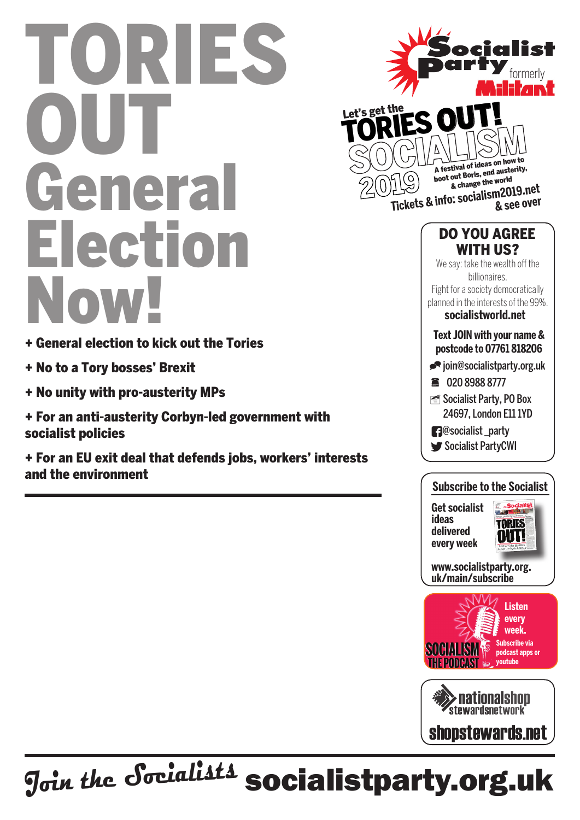## Tories OUT **General** Election Now!

- + General election to kick out the Tories
- + No to a Tory bosses' Brexit
- + No unity with pro-austerity MPs
- + For an anti-austerity Corbyn-led government with socialist policies

+ For an EU exit deal that defends jobs, workers' interests and the environment





**www.socialistparty.org. uk/main/subscribe**

**every week**





J<sub>oin the</sub> Socialists socialistparty.org.uk